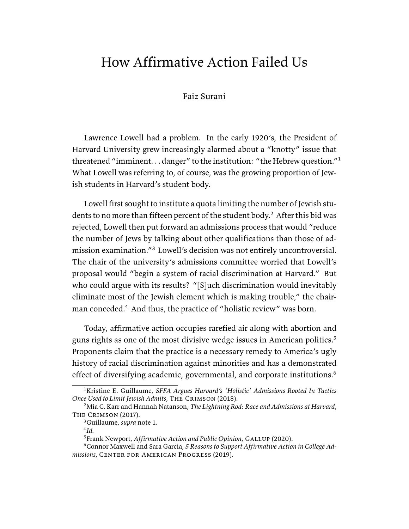# How Affirmative Action Failed Us

Faiz Surani

Lawrence Lowell had a problem. In the early 1920's, the President of Harvard University grew increasingly alarmed about a "knotty" issue that threatened "imminent. . . danger" to the institution: "the Hebrew question."<sup>1</sup> What Lowell was referring to, of course, was the growing proportion of Jewish students in Harvard's student body.

Lowell first sought to institute a quota limiting the number of Jewish students to no more than fifteen percent of the student body.<sup>2</sup> After this bid was rejected, Lowell then put forward an admissions process that would "reduce the number of Jews by talking about other qualifications than those of admission examination."<sup>3</sup> Lowell's decision was not entirely uncontroversial. The chair of the university's admissions committee worried that Lowell's proposal would "begin a system of racial discrimination at Harvard." But who could argue with its results? "[S]uch discrimination would inevitably eliminate most of the Jewish element which is making trouble," the chairman conceded.<sup>4</sup> And thus, the practice of "holistic review" was born.

Today, affirmative action occupies rarefied air along with abortion and guns rights as one of the most divisive wedge issues in American politics.<sup>5</sup> Proponents claim that the practice is a necessary remedy to America's ugly history of racial discrimination against minorities and has a demonstrated effect of diversifying academic, governmental, and corporate institutions.<sup>6</sup>

4 *Id.*

<sup>1</sup>Kristine E. Guillaume, *SFFA Argues Harvard's 'Holistic' Admissions Rooted In Tactics Once Used to Limit Jewish Admits*, The Crimson (2018).

<sup>2</sup>Mia C. Karr and Hannah Natanson, *The Lightning Rod: Race and Admissions at Harvard*, The Crimson (2017).

<sup>3</sup>Guillaume, *supra* note 1.

<sup>5</sup>Frank Newport, *Affirmative Action and Public Opinion*, Gallup (2020).

<sup>6</sup>Connor Maxwell and Sara Garcia, *5 Reasons to Support Affirmative Action in College Admissions*, Center for American Progress (2019).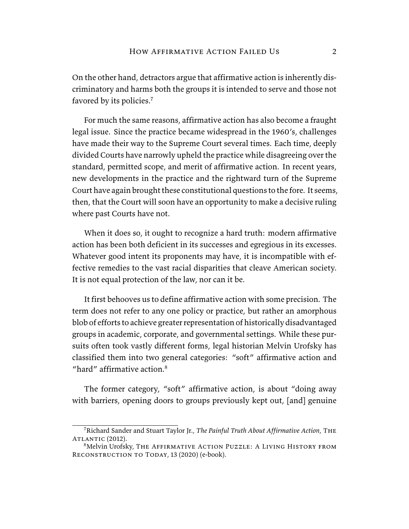On the other hand, detractors argue that affirmative action is inherently discriminatory and harms both the groups it is intended to serve and those not favored by its policies.<sup>7</sup>

For much the same reasons, affirmative action has also become a fraught legal issue. Since the practice became widespread in the 1960's, challenges have made their way to the Supreme Court several times. Each time, deeply divided Courts have narrowly upheld the practice while disagreeing over the standard, permitted scope, and merit of affirmative action. In recent years, new developments in the practice and the rightward turn of the Supreme Court have again brought these constitutional questions to the fore. It seems, then, that the Court will soon have an opportunity to make a decisive ruling where past Courts have not.

When it does so, it ought to recognize a hard truth: modern affirmative action has been both deficient in its successes and egregious in its excesses. Whatever good intent its proponents may have, it is incompatible with effective remedies to the vast racial disparities that cleave American society. It is not equal protection of the law, nor can it be.

It first behooves us to define affirmative action with some precision. The term does not refer to any one policy or practice, but rather an amorphous blob of efforts to achieve greater representation of historically disadvantaged groups in academic, corporate, and governmental settings. While these pursuits often took vastly different forms, legal historian Melvin Urofsky has classified them into two general categories: "soft" affirmative action and "hard" affirmative action  $8$ 

The former category, "soft" affirmative action, is about "doing away with barriers, opening doors to groups previously kept out, [and] genuine

<sup>7</sup>Richard Sander and Stuart Taylor Jr., *The Painful Truth About Affirmative Action*, The ATLANTIC (2012).

<sup>8</sup>Melvin Urofsky, The Affirmative Action Puzzle: A Living History from RECONSTRUCTION TO TODAY, 13 (2020) (e-book).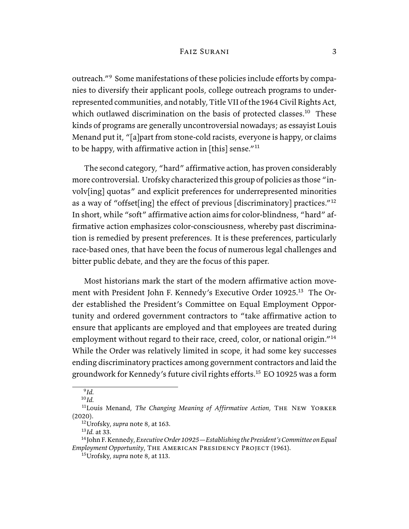outreach."<sup>9</sup> Some manifestations of these policies include efforts by companies to diversify their applicant pools, college outreach programs to underrepresented communities, and notably, Title VII of the 1964 Civil Rights Act, which outlawed discrimination on the basis of protected classes.<sup>10</sup> These kinds of programs are generally uncontroversial nowadays; as essayist Louis Menand put it, "[a]part from stone-cold racists, everyone is happy, or claims to be happy, with affirmative action in [this] sense."<sup>11</sup>

The second category, "hard" affirmative action, has proven considerably more controversial. Urofsky characterized this group of policies as those "involv[ing] quotas" and explicit preferences for underrepresented minorities as a way of "offset[ing] the effect of previous [discriminatory] practices."<sup>12</sup> In short, while "soft" affirmative action aims for color-blindness, "hard" affirmative action emphasizes color-consciousness, whereby past discrimination is remedied by present preferences. It is these preferences, particularly race-based ones, that have been the focus of numerous legal challenges and bitter public debate, and they are the focus of this paper.

Most historians mark the start of the modern affirmative action movement with President John F. Kennedy's Executive Order 10925.<sup>13</sup> The Order established the President's Committee on Equal Employment Opportunity and ordered government contractors to "take affirmative action to ensure that applicants are employed and that employees are treated during employment without regard to their race, creed, color, or national origin."<sup>14</sup> While the Order was relatively limited in scope, it had some key successes ending discriminatory practices among government contractors and laid the groundwork for Kennedy's future civil rights efforts.<sup>15</sup> EO 10925 was a form

<sup>10</sup>*Id.*

<sup>13</sup>*Id.* at 33.

<sup>9</sup> *Id.*

<sup>11</sup>Louis Menand, *The Changing Meaning of Affirmative Action*, The New Yorker (2020).

<sup>12</sup>Urofsky, *supra* note 8, at 163.

<sup>14</sup>John F. Kennedy, *Executive Order 10925—Establishing the President's Committee on Equal Employment Opportunity*, The American Presidency Project (1961).

<sup>15</sup>Urofsky, *supra* note 8, at 113.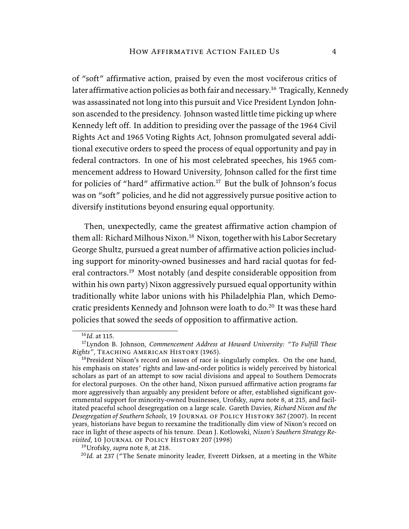of "soft" affirmative action, praised by even the most vociferous critics of later affirmative action policies as both fair and necessary.<sup>16</sup> Tragically, Kennedy was assassinated not long into this pursuit and Vice President Lyndon Johnson ascended to the presidency. Johnson wasted little time picking up where Kennedy left off. In addition to presiding over the passage of the 1964 Civil Rights Act and 1965 Voting Rights Act, Johnson promulgated several additional executive orders to speed the process of equal opportunity and pay in federal contractors. In one of his most celebrated speeches, his 1965 commencement address to Howard University, Johnson called for the first time for policies of "hard" affirmative action.<sup>17</sup> But the bulk of Johnson's focus was on "soft" policies, and he did not aggressively pursue positive action to diversify institutions beyond ensuring equal opportunity.

Then, unexpectedly, came the greatest affirmative action champion of them all: Richard Milhous Nixon.<sup>18</sup> Nixon, together with his Labor Secretary George Shultz, pursued a great number of affirmative action policies including support for minority-owned businesses and hard racial quotas for federal contractors.<sup>19</sup> Most notably (and despite considerable opposition from within his own party) Nixon aggressively pursued equal opportunity within traditionally white labor unions with his Philadelphia Plan, which Democratic presidents Kennedy and Johnson were loath to do.<sup>20</sup> It was these hard policies that sowed the seeds of opposition to affirmative action.

<sup>16</sup>*Id.* at 115.

<sup>17</sup>Lyndon B. Johnson, *Commencement Address at Howard University: "To Fulfill These Rights"*, Teaching American History (1965).

 $18$ President Nixon's record on issues of race is singularly complex. On the one hand, his emphasis on states' rights and law-and-order politics is widely perceived by historical scholars as part of an attempt to sow racial divisions and appeal to Southern Democrats for electoral purposes. On the other hand, Nixon pursued affirmative action programs far more aggressively than arguably any president before or after, established significant governmental support for minority-owned businesses, Urofsky, *supra* note 8, at 215, and facilitated peaceful school desegregation on a large scale. Gareth Davies, *Richard Nixon and the Desegregation of Southern Schools*, 19 Journal of Policy History 367 (2007). In recent years, historians have begun to reexamine the traditionally dim view of Nixon's record on race in light of these aspects of his tenure. Dean J. Kotlowski, *Nixon's Southern Strategy Revisited*, 10 Journal of Policy History 207 (1998)

<sup>19</sup>Urofsky, *supra* note 8, at 218.

<sup>&</sup>lt;sup>20</sup>Id. at 237 ("The Senate minority leader, Everett Dirksen, at a meeting in the White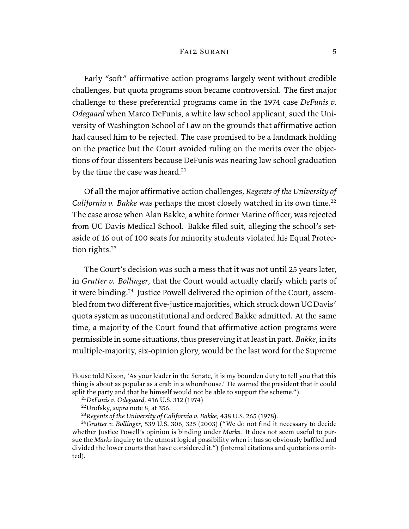Early "soft" affirmative action programs largely went without credible challenges, but quota programs soon became controversial. The first major challenge to these preferential programs came in the 1974 case *DeFunis v. Odegaard* when Marco DeFunis, a white law school applicant, sued the University of Washington School of Law on the grounds that affirmative action had caused him to be rejected. The case promised to be a landmark holding on the practice but the Court avoided ruling on the merits over the objections of four dissenters because DeFunis was nearing law school graduation by the time the case was heard.<sup>21</sup>

Of all the major affirmative action challenges, *Regents of the University of California v. Bakke* was perhaps the most closely watched in its own time.<sup>22</sup> The case arose when Alan Bakke, a white former Marine officer, was rejected from UC Davis Medical School. Bakke filed suit, alleging the school's setaside of 16 out of 100 seats for minority students violated his Equal Protection rights.<sup>23</sup>

The Court's decision was such a mess that it was not until 25 years later, in *Grutter v. Bollinger*, that the Court would actually clarify which parts of it were binding.<sup>24</sup> Justice Powell delivered the opinion of the Court, assembled from two different five-justice majorities, which struck down UC Davis' quota system as unconstitutional and ordered Bakke admitted. At the same time, a majority of the Court found that affirmative action programs were permissible in some situations, thus preserving it at least in part. *Bakke*, in its multiple-majority, six-opinion glory, would be the last word for the Supreme

House told Nixon, 'As your leader in the Senate, it is my bounden duty to tell you that this thing is about as popular as a crab in a whorehouse.' He warned the president that it could split the party and that he himself would not be able to support the scheme.").

<sup>21</sup>*DeFunis v. Odegaard*, 416 U.S. 312 (1974)

<sup>22</sup>Urofsky, *supra* note 8, at 356.

<sup>23</sup>*Regents of the University of California v. Bakke*, 438 U.S. 265 (1978).

<sup>24</sup>*Grutter v. Bollinger*, 539 U.S. 306, 325 (2003) ("We do not find it necessary to decide whether Justice Powell's opinion is binding under *Marks*. It does not seem useful to pursue the *Marks* inquiry to the utmost logical possibility when it has so obviously baffled and divided the lower courts that have considered it.") (internal citations and quotations omitted).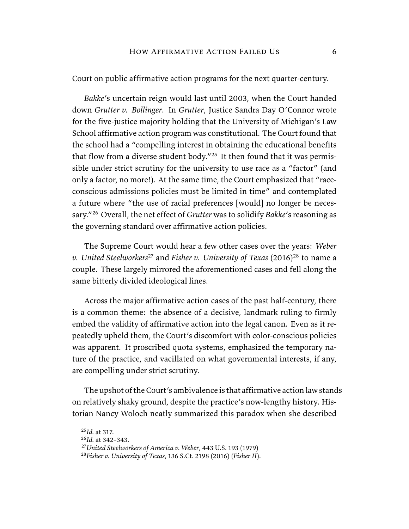Court on public affirmative action programs for the next quarter-century.

*Bakke*'s uncertain reign would last until 2003, when the Court handed down *Grutter v. Bollinger*. In *Grutter*, Justice Sandra Day O'Connor wrote for the five-justice majority holding that the University of Michigan's Law School affirmative action program was constitutional. The Court found that the school had a "compelling interest in obtaining the educational benefits that flow from a diverse student body."<sup>25</sup> It then found that it was permissible under strict scrutiny for the university to use race as a "factor" (and only a factor, no more!). At the same time, the Court emphasized that "raceconscious admissions policies must be limited in time" and contemplated a future where "the use of racial preferences [would] no longer be necessary."<sup>26</sup> Overall, the net effect of *Grutter* was to solidify *Bakke*'s reasoning as the governing standard over affirmative action policies.

The Supreme Court would hear a few other cases over the years: *Weber v. United Steelworkers<sup>27</sup>* and *Fisher v. University of Texas* (2016)<sup>28</sup> to name a couple. These largely mirrored the aforementioned cases and fell along the same bitterly divided ideological lines.

Across the major affirmative action cases of the past half-century, there is a common theme: the absence of a decisive, landmark ruling to firmly embed the validity of affirmative action into the legal canon. Even as it repeatedly upheld them, the Court's discomfort with color-conscious policies was apparent. It proscribed quota systems, emphasized the temporary nature of the practice, and vacillated on what governmental interests, if any, are compelling under strict scrutiny.

The upshot of the Court's ambivalence is that affirmative action law stands on relatively shaky ground, despite the practice's now-lengthy history. Historian Nancy Woloch neatly summarized this paradox when she described

<sup>25</sup>*Id.* at 317.

<sup>26</sup>*Id.* at 342–343.

<sup>27</sup>*United Steelworkers of America v. Weber*, 443 U.S. 193 (1979)

<sup>28</sup>*Fisher v. University of Texas*, 136 S.Ct. 2198 (2016) (*Fisher II*).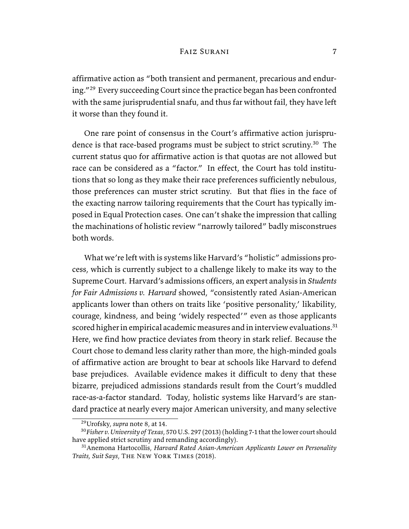affirmative action as "both transient and permanent, precarious and enduring."<sup>29</sup> Every succeeding Court since the practice began has been confronted with the same jurisprudential snafu, and thus far without fail, they have left it worse than they found it.

One rare point of consensus in the Court's affirmative action jurisprudence is that race-based programs must be subject to strict scrutiny.<sup>30</sup> The current status quo for affirmative action is that quotas are not allowed but race can be considered as a "factor." In effect, the Court has told institutions that so long as they make their race preferences sufficiently nebulous, those preferences can muster strict scrutiny. But that flies in the face of the exacting narrow tailoring requirements that the Court has typically imposed in Equal Protection cases. One can't shake the impression that calling the machinations of holistic review "narrowly tailored" badly misconstrues both words.

What we're left with is systems like Harvard's "holistic" admissions process, which is currently subject to a challenge likely to make its way to the Supreme Court. Harvard's admissions officers, an expert analysis in *Students for Fair Admissions v. Harvard* showed, "consistently rated Asian-American applicants lower than others on traits like 'positive personality,' likability, courage, kindness, and being 'widely respected'" even as those applicants scored higher in empirical academic measures and in interview evaluations.<sup>31</sup> Here, we find how practice deviates from theory in stark relief. Because the Court chose to demand less clarity rather than more, the high-minded goals of affirmative action are brought to bear at schools like Harvard to defend base prejudices. Available evidence makes it difficult to deny that these bizarre, prejudiced admissions standards result from the Court's muddled race-as-a-factor standard. Today, holistic systems like Harvard's are standard practice at nearly every major American university, and many selective

<sup>29</sup>Urofsky, *supra* note 8, at 14.

<sup>30</sup>*Fisher v. University of Texas*, 570 U.S. 297 (2013) (holding 7-1 that the lower court should have applied strict scrutiny and remanding accordingly).

<sup>31</sup>Anemona Hartocollis, *Harvard Rated Asian-American Applicants Lower on Personality Traits, Suit Says*, The New York Times (2018).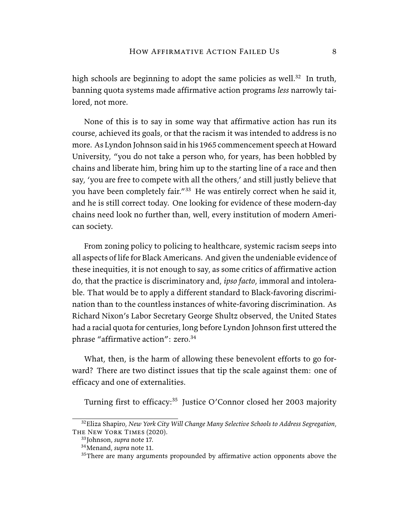high schools are beginning to adopt the same policies as well.<sup>32</sup> In truth, banning quota systems made affirmative action programs *less* narrowly tailored, not more.

None of this is to say in some way that affirmative action has run its course, achieved its goals, or that the racism it was intended to address is no more. As Lyndon Johnson said in his 1965 commencement speech at Howard University, "you do not take a person who, for years, has been hobbled by chains and liberate him, bring him up to the starting line of a race and then say, 'you are free to compete with all the others,' and still justly believe that you have been completely fair.<sup>"33</sup> He was entirely correct when he said it, and he is still correct today. One looking for evidence of these modern-day chains need look no further than, well, every institution of modern American society.

From zoning policy to policing to healthcare, systemic racism seeps into all aspects of life for Black Americans. And given the undeniable evidence of these inequities, it is not enough to say, as some critics of affirmative action do, that the practice is discriminatory and, *ipso facto*, immoral and intolerable. That would be to apply a different standard to Black-favoring discrimination than to the countless instances of white-favoring discrimination. As Richard Nixon's Labor Secretary George Shultz observed, the United States had a racial quota for centuries, long before Lyndon Johnson first uttered the phrase "affirmative action": zero.<sup>34</sup>

What, then, is the harm of allowing these benevolent efforts to go forward? There are two distinct issues that tip the scale against them: one of efficacy and one of externalities.

Turning first to efficacy:<sup>35</sup> Justice O'Connor closed her 2003 majority

<sup>32</sup>Eliza Shapiro, *New York City Will Change Many Selective Schools to Address Segregation*, The New York Times (2020).

<sup>33</sup>Johnson, *supra* note 17.

<sup>34</sup>Menand, *supra* note 11.

<sup>&</sup>lt;sup>35</sup>There are many arguments propounded by affirmative action opponents above the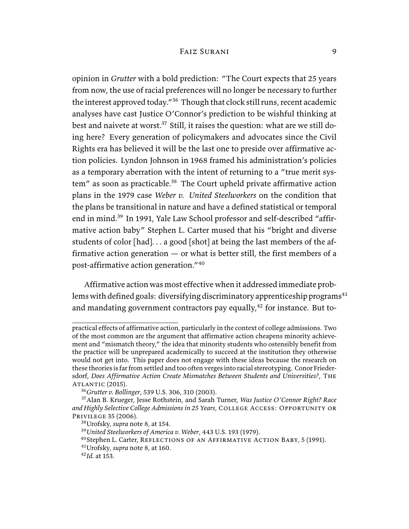opinion in *Grutter* with a bold prediction: "The Court expects that 25 years from now, the use of racial preferences will no longer be necessary to further the interest approved today."<sup>36</sup> Though that clock still runs, recent academic analyses have cast Justice O'Connor's prediction to be wishful thinking at best and naivete at worst.<sup>37</sup> Still, it raises the question: what are we still doing here? Every generation of policymakers and advocates since the Civil Rights era has believed it will be the last one to preside over affirmative action policies. Lyndon Johnson in 1968 framed his administration's policies as a temporary aberration with the intent of returning to a "true merit system" as soon as practicable.<sup>38</sup> The Court upheld private affirmative action plans in the 1979 case *Weber v. United Steelworkers* on the condition that the plans be transitional in nature and have a defined statistical or temporal end in mind.<sup>39</sup> In 1991, Yale Law School professor and self-described "affirmative action baby" Stephen L. Carter mused that his "bright and diverse students of color [had]. . . a good [shot] at being the last members of the affirmative action generation  $-$  or what is better still, the first members of a post-affirmative action generation."<sup>40</sup>

Affirmative action was most effective when it addressed immediate problems with defined goals: diversifying discriminatory apprenticeship programs<sup>41</sup> and mandating government contractors pay equally, $42$  for instance. But to-

practical effects of affirmative action, particularly in the context of college admissions. Two of the most common are the argument that affirmative action cheapens minority achievement and "mismatch theory," the idea that minority students who ostensibly benefit from the practice will be unprepared academically to succeed at the institution they otherwise would not get into. This paper does not engage with these ideas because the research on these theories is far from settled and too often verges into racial stereotyping. Conor Friedersdorf, *Does Affirmative Action Create Mismatches Between Students and Universities?*, The  $ATLANTIC (2015).$ 

<sup>36</sup>*Grutter v. Bollinger*, 539 U.S. 306, 310 (2003).

<sup>37</sup>Alan B. Krueger, Jesse Rothstein, and Sarah Turner, *Was Justice O'Connor Right? Race and Highly Selective College Admissions in 25 Years*, College Access: Opportunity or Privilege 35 (2006).

<sup>38</sup>Urofsky, *supra* note 8, at 154.

<sup>39</sup>*United Steelworkers of America v. Weber*, 443 U.S. 193 (1979).

<sup>&</sup>lt;sup>40</sup>Stephen L. Carter, REFLECTIONS OF AN AFFIRMATIVE ACTION BABY, 5 (1991).

<sup>41</sup>Urofsky, *supra* note 8, at 160.

<sup>42</sup>*Id.* at 153.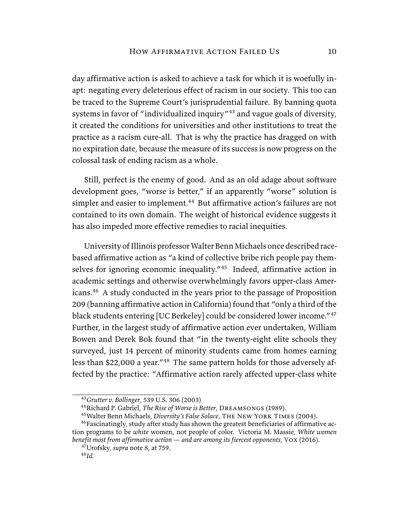day affirmative action is asked to achieve a task for which it is woefully inapt: negating every deleterious effect of racism in our society. This too can be traced to the Supreme Court's jurisprudential failure. By banning quota systems in favor of "individualized inquiry"<sup>43</sup> and vague goals of diversity, it created the conditions for universities and other institutions to treat the practice as a racism cure-all. That is why the practice has dragged on with no expiration date, because the measure of its success is now progress on the colossal task of ending racism as a whole.

Still, perfect is the enemy of good. And as an old adage about software development goes, "worse is better," if an apparently "worse" solution is simpler and easier to implement.<sup>44</sup> But affirmative action's failures are not contained to its own domain. The weight of historical evidence suggests it has also impeded more effective remedies to racial inequities.

University of Illinois professor Walter Benn Michaels once described racebased affirmative action as "a kind of collective bribe rich people pay themselves for ignoring economic inequality."<sup>45</sup> Indeed, affirmative action in academic settings and otherwise overwhelmingly favors upper-class Americans.<sup>46</sup> A study conducted in the years prior to the passage of Proposition 209 (banning affirmative action in California) found that "only a third of the black students entering [UC Berkeley] could be considered lower income."<sup>47</sup> Further, in the largest study of affirmative action ever undertaken, William Bowen and Derek Bok found that "in the twenty-eight elite schools they surveyed, just 14 percent of minority students came from homes earning less than \$22,000 a year."<sup>48</sup> The same pattern holds for those adversely affected by the practice: "Affirmative action rarely affected upper-class white

<sup>43</sup>*Grutter v. Bollinger*, 539 U.S. 306 (2003)

<sup>44</sup>Richard P. Gabriel, *The Rise of Worse is Better*, Dreamsongs (1989).

<sup>45</sup>Walter Benn Michaels, *Diversity's False Solace*, The New York Times (2004).

<sup>46</sup>Fascinatingly, study after study has shown the greatest beneficiaries of affirmative action programs to be *white* women, not people of color. Victoria M. Massie, *White women benefit most from affirmative action — and are among its fiercest opponents*, Vox (2016).

<sup>47</sup>Urofsky, *supra* note 8, at 759. <sup>48</sup>*Id.*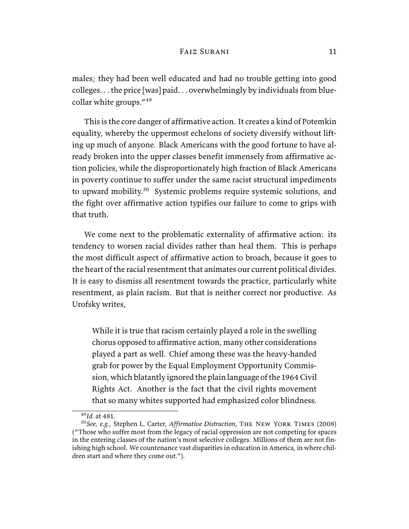males; they had been well educated and had no trouble getting into good colleges. . . the price [was] paid. . . overwhelmingly by individuals from bluecollar white groups."<sup>49</sup>

This is the core danger of affirmative action. It creates a kind of Potemkin equality, whereby the uppermost echelons of society diversify without lifting up much of anyone. Black Americans with the good fortune to have already broken into the upper classes benefit immensely from affirmative action policies, while the disproportionately high fraction of Black Americans in poverty continue to suffer under the same racist structural impediments to upward mobility.<sup>50</sup> Systemic problems require systemic solutions, and the fight over affirmative action typifies our failure to come to grips with that truth.

We come next to the problematic externality of affirmative action: its tendency to worsen racial divides rather than heal them. This is perhaps the most difficult aspect of affirmative action to broach, because it goes to the heart of the racial resentment that animates our current political divides. It is easy to dismiss all resentment towards the practice, particularly white resentment, as plain racism. But that is neither correct nor productive. As Urofsky writes,

While it is true that racism certainly played a role in the swelling chorus opposed to affirmative action, many other considerations played a part as well. Chief among these was the heavy-handed grab for power by the Equal Employment Opportunity Commission, which blatantly ignored the plain language of the 1964 Civil Rights Act. Another is the fact that the civil rights movement that so many whites supported had emphasized color blindness.

<sup>49</sup>*Id.* at 481.

<sup>50</sup>*See, e.g.*, Stephen L. Carter, *Affirmative Distraction*, The New York Times (2008) ("Those who suffer most from the legacy of racial oppression are not competing for spaces in the entering classes of the nation's most selective colleges. Millions of them are not finishing high school. We countenance vast disparities in education in America, in where children start and where they come out.").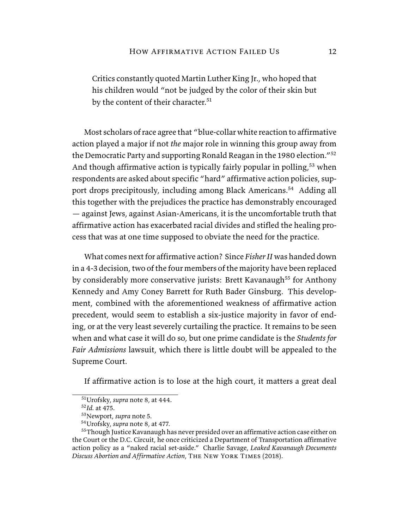Critics constantly quoted Martin Luther King Jr., who hoped that his children would "not be judged by the color of their skin but by the content of their character.<sup>51</sup>

Most scholars of race agree that "blue-collar white reaction to affirmative action played a major if not *the* major role in winning this group away from the Democratic Party and supporting Ronald Reagan in the 1980 election."<sup>52</sup> And though affirmative action is typically fairly popular in polling,<sup>53</sup> when respondents are asked about specific "hard" affirmative action policies, support drops precipitously, including among Black Americans.<sup>54</sup> Adding all this together with the prejudices the practice has demonstrably encouraged — against Jews, against Asian-Americans, it is the uncomfortable truth that affirmative action has exacerbated racial divides and stifled the healing process that was at one time supposed to obviate the need for the practice.

What comes next for affirmative action? Since *Fisher II* was handed down in a 4-3 decision, two of the four members of the majority have been replaced by considerably more conservative jurists: Brett Kavanaugh<sup>55</sup> for Anthony Kennedy and Amy Coney Barrett for Ruth Bader Ginsburg. This development, combined with the aforementioned weakness of affirmative action precedent, would seem to establish a six-justice majority in favor of ending, or at the very least severely curtailing the practice. It remains to be seen when and what case it will do so, but one prime candidate is the *Students for Fair Admissions* lawsuit, which there is little doubt will be appealed to the Supreme Court.

If affirmative action is to lose at the high court, it matters a great deal

<sup>51</sup>Urofsky, *supra* note 8, at 444.

<sup>52</sup>*Id.* at 475.

<sup>53</sup>Newport, *supra* note 5.

<sup>54</sup>Urofsky, *supra* note 8, at 477.

 $55$ Though Justice Kavanaugh has never presided over an affirmative action case either on the Court or the D.C. Circuit, he once criticized a Department of Transportation affirmative action policy as a "naked racial set-aside." Charlie Savage, *Leaked Kavanaugh Documents Discuss Abortion and Affirmative Action*, The New York Times (2018).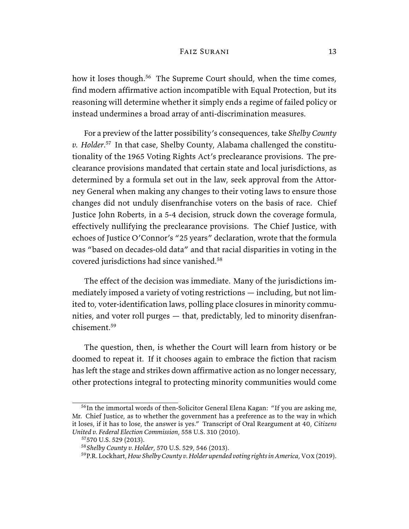how it loses though.<sup>56</sup> The Supreme Court should, when the time comes, find modern affirmative action incompatible with Equal Protection, but its reasoning will determine whether it simply ends a regime of failed policy or instead undermines a broad array of anti-discrimination measures.

For a preview of the latter possibility's consequences, take *Shelby County v. Holder*. <sup>57</sup> In that case, Shelby County, Alabama challenged the constitutionality of the 1965 Voting Rights Act's preclearance provisions. The preclearance provisions mandated that certain state and local jurisdictions, as determined by a formula set out in the law, seek approval from the Attorney General when making any changes to their voting laws to ensure those changes did not unduly disenfranchise voters on the basis of race. Chief Justice John Roberts, in a 5-4 decision, struck down the coverage formula, effectively nullifying the preclearance provisions. The Chief Justice, with echoes of Justice O'Connor's "25 years" declaration, wrote that the formula was "based on decades-old data" and that racial disparities in voting in the covered jurisdictions had since vanished.<sup>58</sup>

The effect of the decision was immediate. Many of the jurisdictions immediately imposed a variety of voting restrictions — including, but not limited to, voter-identification laws, polling place closures in minority communities, and voter roll purges — that, predictably, led to minority disenfranchisement.<sup>59</sup>

The question, then, is whether the Court will learn from history or be doomed to repeat it. If it chooses again to embrace the fiction that racism has left the stage and strikes down affirmative action as no longer necessary, other protections integral to protecting minority communities would come

<sup>&</sup>lt;sup>56</sup>In the immortal words of then-Solicitor General Elena Kagan: "If you are asking me, Mr. Chief Justice, as to whether the government has a preference as to the way in which it loses, if it has to lose, the answer is yes." Transcript of Oral Reargument at 40, *Citizens United v. Federal Election Commission*, 558 U.S. 310 (2010).

<sup>57</sup>570 U.S. 529 (2013).

<sup>58</sup>*Shelby County v. Holder*, 570 U.S. 529, 546 (2013).

<sup>59</sup>P.R. Lockhart, *How Shelby County v. Holder upended voting rights in America*, Vox(2019).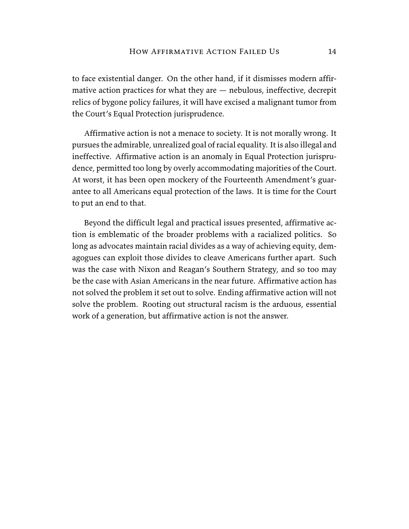to face existential danger. On the other hand, if it dismisses modern affirmative action practices for what they are — nebulous, ineffective, decrepit relics of bygone policy failures, it will have excised a malignant tumor from the Court's Equal Protection jurisprudence.

Affirmative action is not a menace to society. It is not morally wrong. It pursues the admirable, unrealized goal of racial equality. It is also illegal and ineffective. Affirmative action is an anomaly in Equal Protection jurisprudence, permitted too long by overly accommodating majorities of the Court. At worst, it has been open mockery of the Fourteenth Amendment's guarantee to all Americans equal protection of the laws. It is time for the Court to put an end to that.

Beyond the difficult legal and practical issues presented, affirmative action is emblematic of the broader problems with a racialized politics. So long as advocates maintain racial divides as a way of achieving equity, demagogues can exploit those divides to cleave Americans further apart. Such was the case with Nixon and Reagan's Southern Strategy, and so too may be the case with Asian Americans in the near future. Affirmative action has not solved the problem it set out to solve. Ending affirmative action will not solve the problem. Rooting out structural racism is the arduous, essential work of a generation, but affirmative action is not the answer.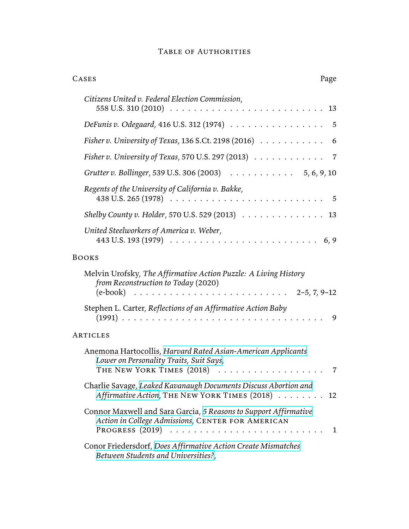| <b>TABLE OF AUTHORITIES</b> |  |
|-----------------------------|--|
|-----------------------------|--|

| CASES<br>Page                                                                                                                                             |
|-----------------------------------------------------------------------------------------------------------------------------------------------------------|
| Citizens United v. Federal Election Commission,                                                                                                           |
| DeFunis v. Odegaard, 416 U.S. 312 (1974)<br>$\overline{5}$                                                                                                |
| Fisher v. University of Texas, 136 S.Ct. 2198 (2016)<br>6                                                                                                 |
| Fisher v. University of Texas, 570 U.S. 297 (2013) 7                                                                                                      |
| Grutter v. Bollinger, 539 U.S. 306 (2003) 5, 6, 9, 10                                                                                                     |
| Regents of the University of California v. Bakke,<br>438 U.S. 265 (1978) $\ldots \ldots \ldots \ldots \ldots \ldots \ldots \ldots \ldots \ldots \ldots 5$ |
| Shelby County v. Holder, 570 U.S. 529 (2013) $\ldots \ldots \ldots \ldots \ldots$ 13                                                                      |
| United Steelworkers of America v. Weber,<br>443 U.S. 193 (1979) $\ldots \ldots \ldots \ldots \ldots \ldots \ldots \ldots \ldots \ldots \ldots \ldots$     |
| <b>BOOKS</b>                                                                                                                                              |
| Melvin Urofsky, The Affirmative Action Puzzle: A Living History<br>from Reconstruction to Today (2020)                                                    |
| Stephen L. Carter, Reflections of an Affirmative Action Baby<br>9                                                                                         |
| ARTICLES                                                                                                                                                  |
| Anemona Hartocollis, Harvard Rated Asian-American Applicants<br>Lower on Personality Traits, Suit Says,                                                   |
| Charlie Savage, Leaked Kavanaugh Documents Discuss Abortion and<br>Affirmative Action, THE NEW YORK TIMES (2018)<br>12                                    |
| Connor Maxwell and Sara Garcia, 5 Reasons to Support Affirmative<br>Action in College Admissions, CENTER FOR AMERICAN<br>1                                |
| Conor Friedersdorf, Does Affirmative Action Create Mismatches<br>Between Students and Universities?,                                                      |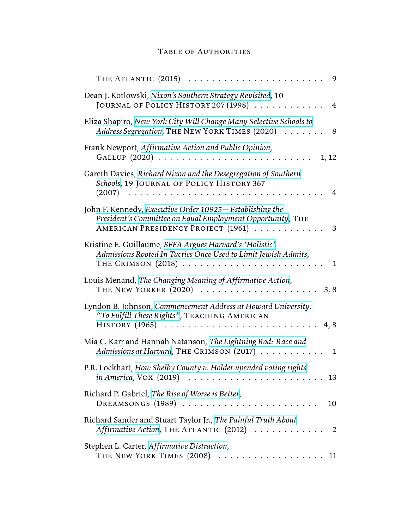## Table of Authorities

| THE ATLANTIC (2015)<br>9                                                                                                                                           |
|--------------------------------------------------------------------------------------------------------------------------------------------------------------------|
| Dean J. Kotlowski, Nixon's Southern Strategy Revisited, 10<br>JOURNAL OF POLICY HISTORY 207 (1998)<br>$\overline{4}$                                               |
| Eliza Shapiro, New York City Will Change Many Selective Schools to<br>Address Segregation, THE NEW YORK TIMES (2020)<br>8                                          |
| Frank Newport, Affirmative Action and Public Opinion,<br>1, 12                                                                                                     |
| Gareth Davies, Richard Nixon and the Desegregation of Southern<br>Schools, 19 JOURNAL OF POLICY HISTORY 367<br>4                                                   |
| John F. Kennedy, Executive Order 10925 - Establishing the<br>President's Committee on Equal Employment Opportunity, THE<br>AMERICAN PRESIDENCY PROJECT (1961)<br>3 |
| Kristine E. Guillaume, SFFA Argues Harvard's 'Holistic'<br>Admissions Rooted In Tactics Once Used to Limit Jewish Admits,<br>THE CRIMSON $(2018)$<br>$\mathbf{1}$  |
| Louis Menand, The Changing Meaning of Affirmative Action,<br>THE NEW YORKER (2020)<br>3, 8                                                                         |
| Lyndon B. Johnson, Commencement Address at Howard University:<br>"To Fulfill These Rights", TEACHING AMERICAN<br>4,8                                               |
| Mia C. Karr and Hannah Natanson, The Lightning Rod: Race and<br>Admissions at Harvard, THE CRIMSON (2017)<br>1                                                     |
| P.R. Lockhart, How Shelby County v. Holder upended voting rights<br>$in America, VOX (2019) \dots \dots \dots \dots \dots \dots \dots \dots$<br>13                 |
| Richard P. Gabriel, The Rise of Worse is Better,<br>DREAMSONGS (1989)<br>10                                                                                        |
| Richard Sander and Stuart Taylor Jr., The Painful Truth About<br>Affirmative Action, THE ATLANTIC (2012)<br>$\overline{\phantom{0}}$ 2                             |
| Stephen L. Carter, Affirmative Distraction,<br>THE NEW YORK TIMES (2008)  11                                                                                       |